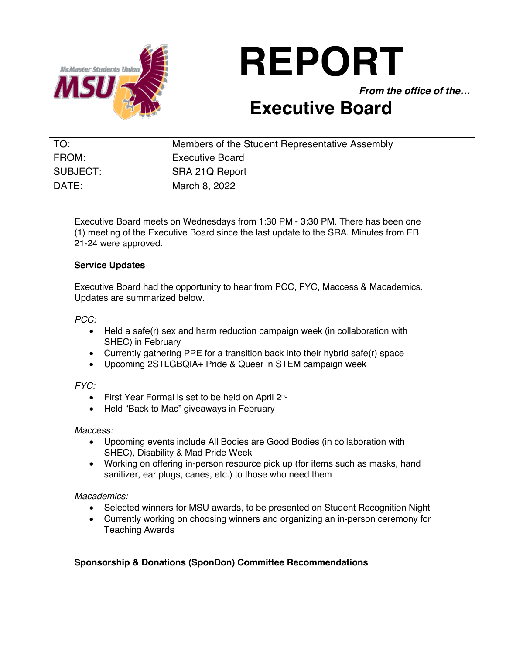

# **REPORT**

*From the office of the…*

## **Executive Board**

| TO:      | Members of the Student Representative Assembly |
|----------|------------------------------------------------|
| FROM:    | <b>Executive Board</b>                         |
| SUBJECT: | SRA 21Q Report                                 |
| DATE:    | March 8, 2022                                  |

Executive Board meets on Wednesdays from 1:30 PM - 3:30 PM. There has been one (1) meeting of the Executive Board since the last update to the SRA. Minutes from EB 21-24 were approved.

#### **Service Updates**

Executive Board had the opportunity to hear from PCC, FYC, Maccess & Macademics. Updates are summarized below.

*PCC:* 

- Held a safe(r) sex and harm reduction campaign week (in collaboration with SHEC) in February
- Currently gathering PPE for a transition back into their hybrid safe(r) space
- Upcoming 2STLGBQIA+ Pride & Queer in STEM campaign week

*FYC:*

- First Year Formal is set to be held on April 2<sup>nd</sup>
- Held "Back to Mac" giveaways in February

#### *Maccess:*

- Upcoming events include All Bodies are Good Bodies (in collaboration with SHEC), Disability & Mad Pride Week
- Working on offering in-person resource pick up (for items such as masks, hand sanitizer, ear plugs, canes, etc.) to those who need them

#### *Macademics:*

- Selected winners for MSU awards, to be presented on Student Recognition Night
- Currently working on choosing winners and organizing an in-person ceremony for Teaching Awards

### **Sponsorship & Donations (SponDon) Committee Recommendations**